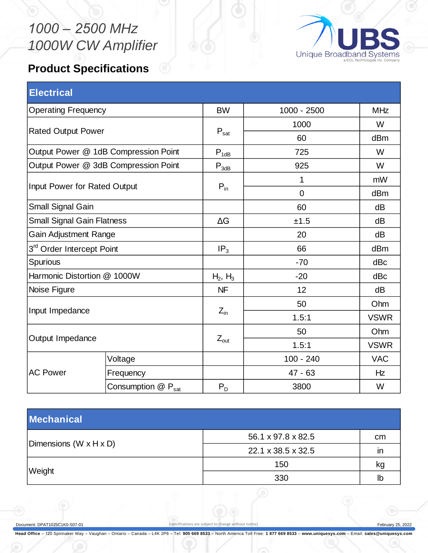## *1000 – 2500 MHz 1000W CW Amplifier*





| <b>Electrical</b>                    |                    |                  |             |             |
|--------------------------------------|--------------------|------------------|-------------|-------------|
| <b>Operating Frequency</b>           |                    | <b>BW</b>        | 1000 - 2500 | <b>MHz</b>  |
| <b>Rated Output Power</b>            |                    |                  | 1000        | W           |
|                                      |                    | $P_{\text{sat}}$ | 60          | dBm         |
| Output Power @ 1dB Compression Point |                    | $P_{1dB}$        | 725         | W           |
| Output Power @ 3dB Compression Point |                    | $P_{3dB}$        | 925         | W           |
| Input Power for Rated Output         |                    |                  | 1           | mW          |
|                                      |                    | $P_{in}$         | $\mathbf 0$ | dBm         |
| Small Signal Gain                    |                    |                  | 60          | dB          |
| <b>Small Signal Gain Flatness</b>    |                    | $\Delta G$       | ±1.5        | dB          |
| <b>Gain Adjustment Range</b>         |                    |                  | 20          | dB          |
| 3rd Order Intercept Point            |                    | IP <sub>3</sub>  | 66          | dBm         |
| Spurious                             |                    |                  | $-70$       | dBc         |
| Harmonic Distortion @ 1000W          |                    | $H_2, H_3$       | $-20$       | dBc         |
| Noise Figure                         |                    | <b>NF</b>        | 12          | dB          |
| Input Impedance                      |                    |                  | 50          | Ohm         |
|                                      |                    | $Z_{\text{in}}$  | 1.5:1       | <b>VSWR</b> |
| Output Impedance                     |                    |                  | 50          | Ohm         |
|                                      |                    | $Z_{\text{out}}$ | 1.5:1       | <b>VSWR</b> |
| <b>AC Power</b>                      | Voltage            |                  | $100 - 240$ | <b>VAC</b>  |
|                                      | Frequency          |                  | $47 - 63$   | Hz          |
|                                      | Consumption @ Psat | $P_D$            | 3800        | W           |

| <b>Mechanical</b>      |                    |    |  |  |  |
|------------------------|--------------------|----|--|--|--|
|                        | 56.1 x 97.8 x 82.5 | cm |  |  |  |
| Dimensions (W x H x D) | 22.1 x 38.5 x 32.5 | ın |  |  |  |
|                        | 150                | kg |  |  |  |
| Weight                 | 330                | lb |  |  |  |

Document: DPAT1025C1K0-S07-01 (specifications are subject to change without notice) February 25, 2022

**Head Office** – 120 Spinnaker Way – Vaughan – Ontario – Canada – L4K 2P6 – Tel: **905 669 8533** – North America Toll Free: **1 877 669 8533** – **www.uniquesys.com** – Email: **sales@uniquesys.com**